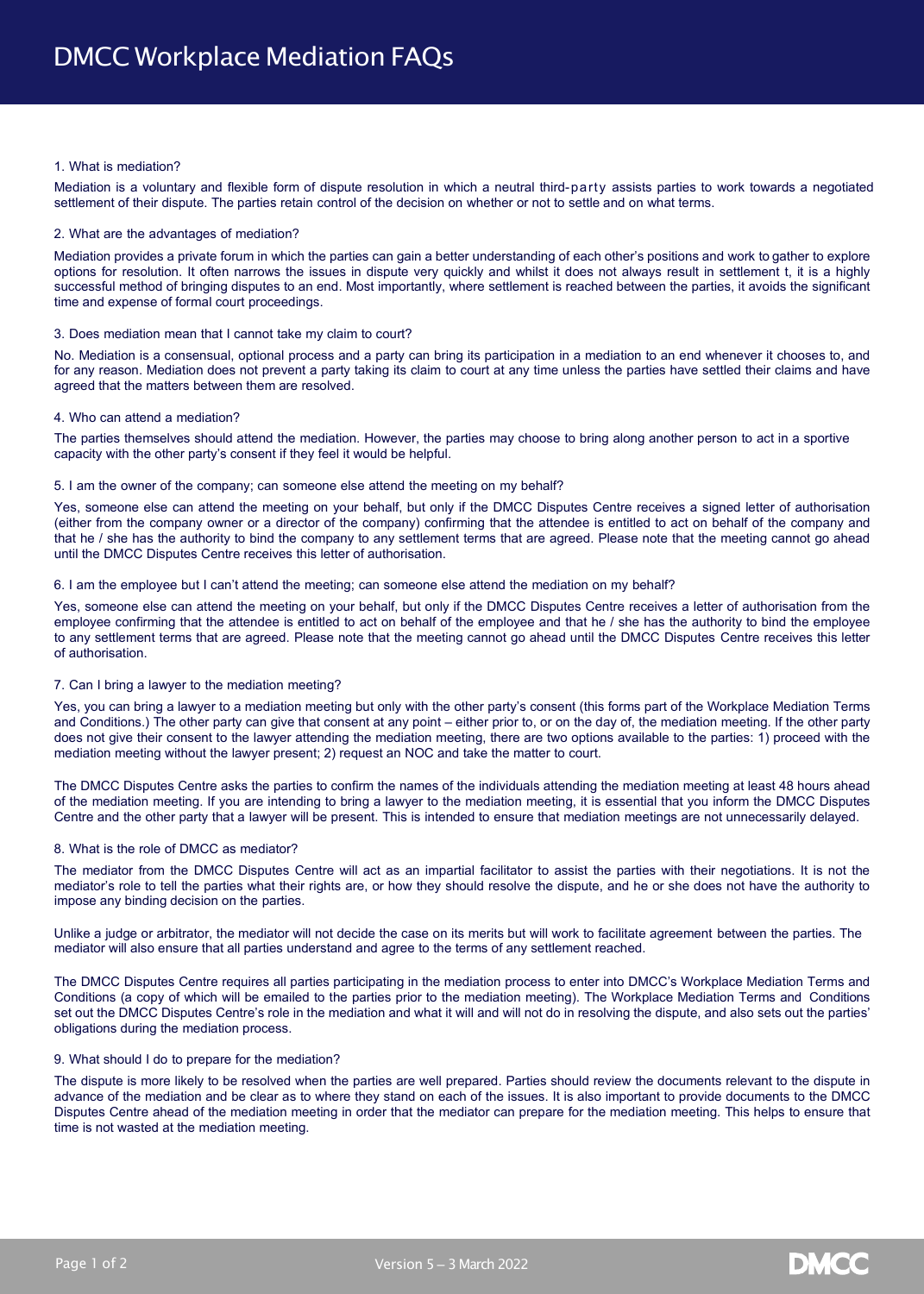#### 1. What is mediation?

Mediation is a voluntary and flexible form of dispute resolution in which a neutral third-party assists parties to work towards a negotiated settlement of their dispute. The parties retain control of the decision on whether or not to settle and on what terms.

#### 2. What are the advantages of mediation?

Mediation provides a private forum in which the parties can gain a better understanding of each other's positions and work to gather to explore options for resolution. It often narrows the issues in dispute very quickly and whilst it does not always result in settlement t, it is a highly successful method of bringing disputes to an end. Most importantly, where settlement is reached between the parties, it avoids the significant time and expense of formal court proceedings.

#### 3. Does mediation mean that I cannot take my claim to court?

No. Mediation is a consensual, optional process and a party can bring its participation in a mediation to an end whenever it chooses to, and for any reason. Mediation does not prevent a party taking its claim to court at any time unless the parties have settled their claims and have agreed that the matters between them are resolved.

#### 4. Who can attend a mediation?

The parties themselves should attend the mediation. However, the parties may choose to bring along another person to act in a sportive capacity with the other party's consent if they feel it would be helpful.

#### 5. I am the owner of the company; can someone else attend the meeting on my behalf?

Yes, someone else can attend the meeting on your behalf, but only if the DMCC Disputes Centre receives a signed letter of authorisation (either from the company owner or a director of the company) confirming that the attendee is entitled to act on behalf of the company and that he / she has the authority to bind the company to any settlement terms that are agreed. Please note that the meeting cannot go ahead until the DMCC Disputes Centre receives this letter of authorisation.

#### 6. I am the employee but I can't attend the meeting; can someone else attend the mediation on my behalf?

Yes, someone else can attend the meeting on your behalf, but only if the DMCC Disputes Centre receives a letter of authorisation from the employee confirming that the attendee is entitled to act on behalf of the employee and that he / she has the authority to bind the employee to any settlement terms that are agreed. Please note that the meeting cannot go ahead until the DMCC Disputes Centre receives this letter of authorisation.

## 7. Can I bring a lawyer to the mediation meeting?

Yes, you can bring a lawyer to a mediation meeting but only with the other party's consent (this forms part of the Workplace Mediation Terms and Conditions.) The other party can give that consent at any point – either prior to, or on the day of, the mediation meeting. If the other party does not give their consent to the lawyer attending the mediation meeting, there are two options available to the parties: 1) proceed with the mediation meeting without the lawyer present; 2) request an NOC and take the matter to court.

The DMCC Disputes Centre asks the parties to confirm the names of the individuals attending the mediation meeting at least 48 hours ahead of the mediation meeting. If you are intending to bring a lawyer to the mediation meeting, it is essential that you inform the DMCC Disputes Centre and the other party that a lawyer will be present. This is intended to ensure that mediation meetings are not unnecessarily delayed.

# 8. What is the role of DMCC as mediator?

The mediator from the DMCC Disputes Centre will act as an impartial facilitator to assist the parties with their negotiations. It is not the mediator's role to tell the parties what their rights are, or how they should resolve the dispute, and he or she does not have the authority to impose any binding decision on the parties.

Unlike a judge or arbitrator, the mediator will not decide the case on its merits but will work to facilitate agreement between the parties. The mediator will also ensure that all parties understand and agree to the terms of any settlement reached.

The DMCC Disputes Centre requires all parties participating in the mediation process to enter into DMCC's Workplace Mediation Terms and Conditions (a copy of which will be emailed to the parties prior to the mediation meeting). The Workplace Mediation Terms and Conditions set out the DMCC Disputes Centre's role in the mediation and what it will and will not do in resolving the dispute, and also sets out the parties' obligations during the mediation process.

## 9. What should I do to prepare for the mediation?

The dispute is more likely to be resolved when the parties are well prepared. Parties should review the documents relevant to the dispute in advance of the mediation and be clear as to where they stand on each of the issues. It is also important to provide documents to the DMCC Disputes Centre ahead of the mediation meeting in order that the mediator can prepare for the mediation meeting. This helps to ensure that time is not wasted at the mediation meeting.